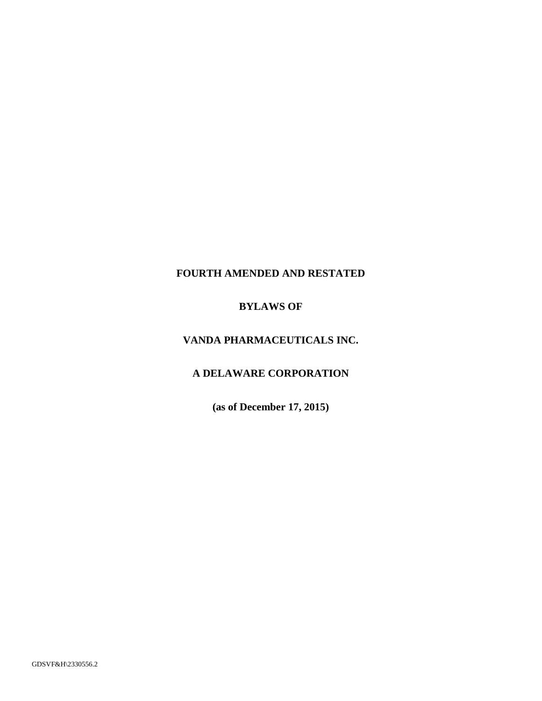# **FOURTH AMENDED AND RESTATED**

## **BYLAWS OF**

# **VANDA PHARMACEUTICALS INC.**

## **A DELAWARE CORPORATION**

**(as of December 17, 2015)**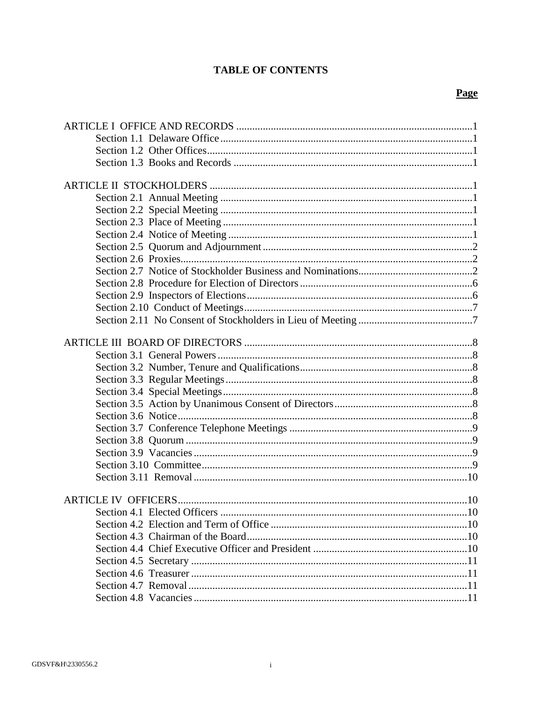# **TABLE OF CONTENTS**

## Page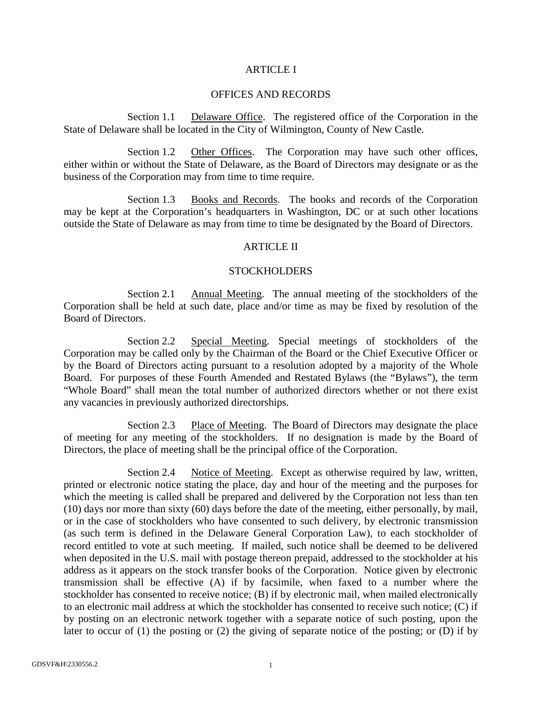#### ARTICLE I

#### OFFICES AND RECORDS

Section 1.1 Delaware Office. The registered office of the Corporation in the State of Delaware shall be located in the City of Wilmington, County of New Castle.

Section 1.2 Other Offices. The Corporation may have such other offices, either within or without the State of Delaware, as the Board of Directors may designate or as the business of the Corporation may from time to time require.

Section 1.3 Books and Records. The books and records of the Corporation may be kept at the Corporation's headquarters in Washington, DC or at such other locations outside the State of Delaware as may from time to time be designated by the Board of Directors.

#### ARTICLE II

#### STOCKHOLDERS

Section 2.1 Annual Meeting.The annual meeting of the stockholders of the Corporation shall be held at such date, place and/or time as may be fixed by resolution of the Board of Directors.

Section 2.2 Special Meeting. Special meetings of stockholders of the Corporation may be called only by the Chairman of the Board or the Chief Executive Officer or by the Board of Directors acting pursuant to a resolution adopted by a majority of the Whole Board. For purposes of these Fourth Amended and Restated Bylaws (the "Bylaws"), the term "Whole Board" shall mean the total number of authorized directors whether or not there exist any vacancies in previously authorized directorships.

Section 2.3 Place of Meeting.The Board of Directors may designate the place of meeting for any meeting of the stockholders. If no designation is made by the Board of Directors, the place of meeting shall be the principal office of the Corporation.

Section 2.4 Notice of Meeting. Except as otherwise required by law, written, printed or electronic notice stating the place, day and hour of the meeting and the purposes for which the meeting is called shall be prepared and delivered by the Corporation not less than ten (10) days nor more than sixty (60) days before the date of the meeting, either personally, by mail, or in the case of stockholders who have consented to such delivery, by electronic transmission (as such term is defined in the Delaware General Corporation Law), to each stockholder of record entitled to vote at such meeting. If mailed, such notice shall be deemed to be delivered when deposited in the U.S. mail with postage thereon prepaid, addressed to the stockholder at his address as it appears on the stock transfer books of the Corporation. Notice given by electronic transmission shall be effective (A) if by facsimile, when faxed to a number where the stockholder has consented to receive notice; (B) if by electronic mail, when mailed electronically to an electronic mail address at which the stockholder has consented to receive such notice; (C) if by posting on an electronic network together with a separate notice of such posting, upon the later to occur of (1) the posting or (2) the giving of separate notice of the posting; or (D) if by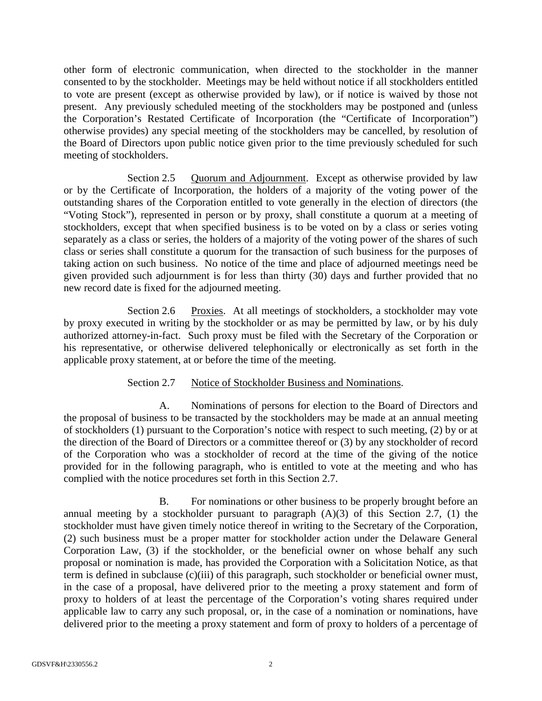other form of electronic communication, when directed to the stockholder in the manner consented to by the stockholder. Meetings may be held without notice if all stockholders entitled to vote are present (except as otherwise provided by law), or if notice is waived by those not present. Any previously scheduled meeting of the stockholders may be postponed and (unless the Corporation's Restated Certificate of Incorporation (the "Certificate of Incorporation") otherwise provides) any special meeting of the stockholders may be cancelled, by resolution of the Board of Directors upon public notice given prior to the time previously scheduled for such meeting of stockholders.

Section 2.5 Quorum and Adjournment. Except as otherwise provided by law or by the Certificate of Incorporation, the holders of a majority of the voting power of the outstanding shares of the Corporation entitled to vote generally in the election of directors (the "Voting Stock"), represented in person or by proxy, shall constitute a quorum at a meeting of stockholders, except that when specified business is to be voted on by a class or series voting separately as a class or series, the holders of a majority of the voting power of the shares of such class or series shall constitute a quorum for the transaction of such business for the purposes of taking action on such business. No notice of the time and place of adjourned meetings need be given provided such adjournment is for less than thirty (30) days and further provided that no new record date is fixed for the adjourned meeting.

Section 2.6 Proxies. At all meetings of stockholders, a stockholder may vote by proxy executed in writing by the stockholder or as may be permitted by law, or by his duly authorized attorney-in-fact. Such proxy must be filed with the Secretary of the Corporation or his representative, or otherwise delivered telephonically or electronically as set forth in the applicable proxy statement, at or before the time of the meeting.

### Section 2.7 Notice of Stockholder Business and Nominations.

A. Nominations of persons for election to the Board of Directors and the proposal of business to be transacted by the stockholders may be made at an annual meeting of stockholders (1) pursuant to the Corporation's notice with respect to such meeting, (2) by or at the direction of the Board of Directors or a committee thereof or (3) by any stockholder of record of the Corporation who was a stockholder of record at the time of the giving of the notice provided for in the following paragraph, who is entitled to vote at the meeting and who has complied with the notice procedures set forth in this Section 2.7.

B. For nominations or other business to be properly brought before an annual meeting by a stockholder pursuant to paragraph  $(A)(3)$  of this Section 2.7, (1) the stockholder must have given timely notice thereof in writing to the Secretary of the Corporation, (2) such business must be a proper matter for stockholder action under the Delaware General Corporation Law, (3) if the stockholder, or the beneficial owner on whose behalf any such proposal or nomination is made, has provided the Corporation with a Solicitation Notice, as that term is defined in subclause (c)(iii) of this paragraph, such stockholder or beneficial owner must, in the case of a proposal, have delivered prior to the meeting a proxy statement and form of proxy to holders of at least the percentage of the Corporation's voting shares required under applicable law to carry any such proposal, or, in the case of a nomination or nominations, have delivered prior to the meeting a proxy statement and form of proxy to holders of a percentage of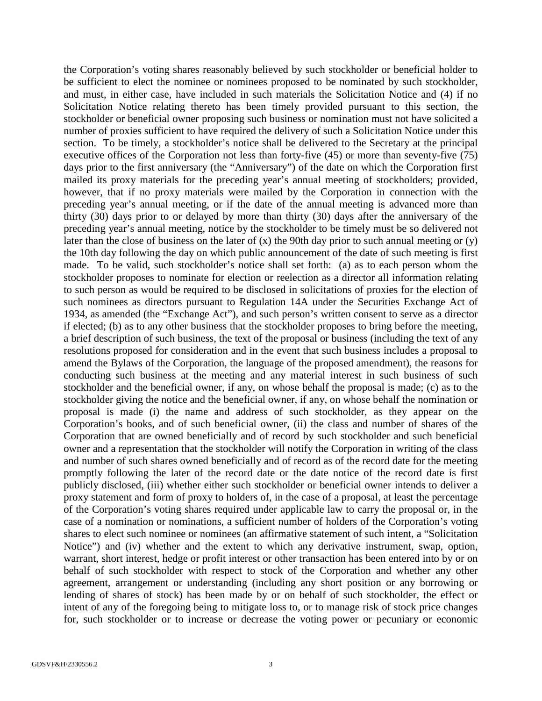the Corporation's voting shares reasonably believed by such stockholder or beneficial holder to be sufficient to elect the nominee or nominees proposed to be nominated by such stockholder, and must, in either case, have included in such materials the Solicitation Notice and (4) if no Solicitation Notice relating thereto has been timely provided pursuant to this section, the stockholder or beneficial owner proposing such business or nomination must not have solicited a number of proxies sufficient to have required the delivery of such a Solicitation Notice under this section. To be timely, a stockholder's notice shall be delivered to the Secretary at the principal executive offices of the Corporation not less than forty-five (45) or more than seventy-five (75) days prior to the first anniversary (the "Anniversary") of the date on which the Corporation first mailed its proxy materials for the preceding year's annual meeting of stockholders; provided, however, that if no proxy materials were mailed by the Corporation in connection with the preceding year's annual meeting, or if the date of the annual meeting is advanced more than thirty (30) days prior to or delayed by more than thirty (30) days after the anniversary of the preceding year's annual meeting, notice by the stockholder to be timely must be so delivered not later than the close of business on the later of (x) the 90th day prior to such annual meeting or (y) the 10th day following the day on which public announcement of the date of such meeting is first made. To be valid, such stockholder's notice shall set forth: (a) as to each person whom the stockholder proposes to nominate for election or reelection as a director all information relating to such person as would be required to be disclosed in solicitations of proxies for the election of such nominees as directors pursuant to Regulation 14A under the Securities Exchange Act of 1934, as amended (the "Exchange Act"), and such person's written consent to serve as a director if elected; (b) as to any other business that the stockholder proposes to bring before the meeting, a brief description of such business, the text of the proposal or business (including the text of any resolutions proposed for consideration and in the event that such business includes a proposal to amend the Bylaws of the Corporation, the language of the proposed amendment), the reasons for conducting such business at the meeting and any material interest in such business of such stockholder and the beneficial owner, if any, on whose behalf the proposal is made; (c) as to the stockholder giving the notice and the beneficial owner, if any, on whose behalf the nomination or proposal is made (i) the name and address of such stockholder, as they appear on the Corporation's books, and of such beneficial owner, (ii) the class and number of shares of the Corporation that are owned beneficially and of record by such stockholder and such beneficial owner and a representation that the stockholder will notify the Corporation in writing of the class and number of such shares owned beneficially and of record as of the record date for the meeting promptly following the later of the record date or the date notice of the record date is first publicly disclosed, (iii) whether either such stockholder or beneficial owner intends to deliver a proxy statement and form of proxy to holders of, in the case of a proposal, at least the percentage of the Corporation's voting shares required under applicable law to carry the proposal or, in the case of a nomination or nominations, a sufficient number of holders of the Corporation's voting shares to elect such nominee or nominees (an affirmative statement of such intent, a "Solicitation Notice") and (iv) whether and the extent to which any derivative instrument, swap, option, warrant, short interest, hedge or profit interest or other transaction has been entered into by or on behalf of such stockholder with respect to stock of the Corporation and whether any other agreement, arrangement or understanding (including any short position or any borrowing or lending of shares of stock) has been made by or on behalf of such stockholder, the effect or intent of any of the foregoing being to mitigate loss to, or to manage risk of stock price changes for, such stockholder or to increase or decrease the voting power or pecuniary or economic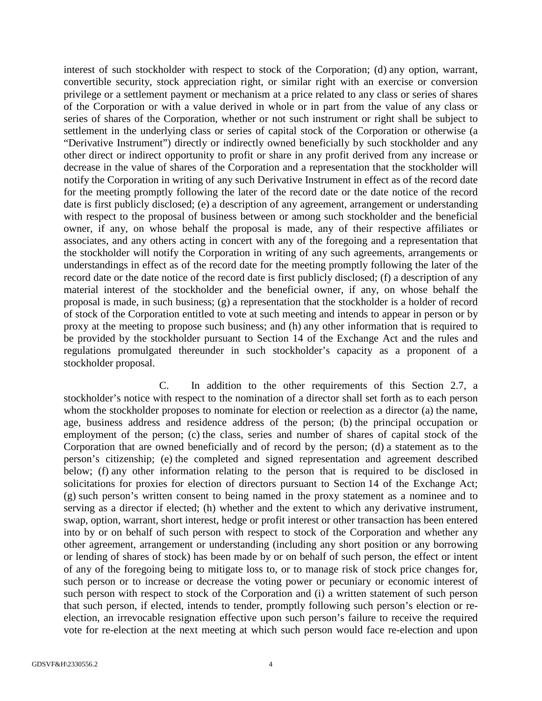interest of such stockholder with respect to stock of the Corporation; (d) any option, warrant, convertible security, stock appreciation right, or similar right with an exercise or conversion privilege or a settlement payment or mechanism at a price related to any class or series of shares of the Corporation or with a value derived in whole or in part from the value of any class or series of shares of the Corporation, whether or not such instrument or right shall be subject to settlement in the underlying class or series of capital stock of the Corporation or otherwise (a "Derivative Instrument") directly or indirectly owned beneficially by such stockholder and any other direct or indirect opportunity to profit or share in any profit derived from any increase or decrease in the value of shares of the Corporation and a representation that the stockholder will notify the Corporation in writing of any such Derivative Instrument in effect as of the record date for the meeting promptly following the later of the record date or the date notice of the record date is first publicly disclosed; (e) a description of any agreement, arrangement or understanding with respect to the proposal of business between or among such stockholder and the beneficial owner, if any, on whose behalf the proposal is made, any of their respective affiliates or associates, and any others acting in concert with any of the foregoing and a representation that the stockholder will notify the Corporation in writing of any such agreements, arrangements or understandings in effect as of the record date for the meeting promptly following the later of the record date or the date notice of the record date is first publicly disclosed; (f) a description of any material interest of the stockholder and the beneficial owner, if any, on whose behalf the proposal is made, in such business; (g) a representation that the stockholder is a holder of record of stock of the Corporation entitled to vote at such meeting and intends to appear in person or by proxy at the meeting to propose such business; and (h) any other information that is required to be provided by the stockholder pursuant to Section 14 of the Exchange Act and the rules and regulations promulgated thereunder in such stockholder's capacity as a proponent of a stockholder proposal.

C. In addition to the other requirements of this Section 2.7, a stockholder's notice with respect to the nomination of a director shall set forth as to each person whom the stockholder proposes to nominate for election or reelection as a director (a) the name, age, business address and residence address of the person; (b) the principal occupation or employment of the person; (c) the class, series and number of shares of capital stock of the Corporation that are owned beneficially and of record by the person; (d) a statement as to the person's citizenship; (e) the completed and signed representation and agreement described below; (f) any other information relating to the person that is required to be disclosed in solicitations for proxies for election of directors pursuant to Section 14 of the Exchange Act; (g) such person's written consent to being named in the proxy statement as a nominee and to serving as a director if elected; (h) whether and the extent to which any derivative instrument, swap, option, warrant, short interest, hedge or profit interest or other transaction has been entered into by or on behalf of such person with respect to stock of the Corporation and whether any other agreement, arrangement or understanding (including any short position or any borrowing or lending of shares of stock) has been made by or on behalf of such person, the effect or intent of any of the foregoing being to mitigate loss to, or to manage risk of stock price changes for, such person or to increase or decrease the voting power or pecuniary or economic interest of such person with respect to stock of the Corporation and (i) a written statement of such person that such person, if elected, intends to tender, promptly following such person's election or reelection, an irrevocable resignation effective upon such person's failure to receive the required vote for re-election at the next meeting at which such person would face re-election and upon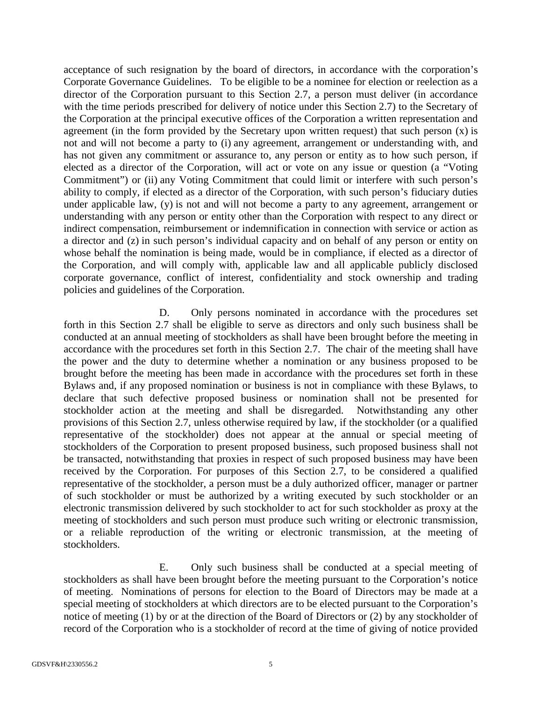acceptance of such resignation by the board of directors, in accordance with the corporation's Corporate Governance Guidelines. To be eligible to be a nominee for election or reelection as a director of the Corporation pursuant to this Section 2.7, a person must deliver (in accordance with the time periods prescribed for delivery of notice under this Section 2.7) to the Secretary of the Corporation at the principal executive offices of the Corporation a written representation and agreement (in the form provided by the Secretary upon written request) that such person  $(x)$  is not and will not become a party to (i) any agreement, arrangement or understanding with, and has not given any commitment or assurance to, any person or entity as to how such person, if elected as a director of the Corporation, will act or vote on any issue or question (a "Voting Commitment") or (ii) any Voting Commitment that could limit or interfere with such person's ability to comply, if elected as a director of the Corporation, with such person's fiduciary duties under applicable law, (y) is not and will not become a party to any agreement, arrangement or understanding with any person or entity other than the Corporation with respect to any direct or indirect compensation, reimbursement or indemnification in connection with service or action as a director and (z) in such person's individual capacity and on behalf of any person or entity on whose behalf the nomination is being made, would be in compliance, if elected as a director of the Corporation, and will comply with, applicable law and all applicable publicly disclosed corporate governance, conflict of interest, confidentiality and stock ownership and trading policies and guidelines of the Corporation.

D. Only persons nominated in accordance with the procedures set forth in this Section 2.7 shall be eligible to serve as directors and only such business shall be conducted at an annual meeting of stockholders as shall have been brought before the meeting in accordance with the procedures set forth in this Section 2.7. The chair of the meeting shall have the power and the duty to determine whether a nomination or any business proposed to be brought before the meeting has been made in accordance with the procedures set forth in these Bylaws and, if any proposed nomination or business is not in compliance with these Bylaws, to declare that such defective proposed business or nomination shall not be presented for stockholder action at the meeting and shall be disregarded. Notwithstanding any other provisions of this Section 2.7, unless otherwise required by law, if the stockholder (or a qualified representative of the stockholder) does not appear at the annual or special meeting of stockholders of the Corporation to present proposed business, such proposed business shall not be transacted, notwithstanding that proxies in respect of such proposed business may have been received by the Corporation. For purposes of this Section 2.7, to be considered a qualified representative of the stockholder, a person must be a duly authorized officer, manager or partner of such stockholder or must be authorized by a writing executed by such stockholder or an electronic transmission delivered by such stockholder to act for such stockholder as proxy at the meeting of stockholders and such person must produce such writing or electronic transmission, or a reliable reproduction of the writing or electronic transmission, at the meeting of stockholders.

E. Only such business shall be conducted at a special meeting of stockholders as shall have been brought before the meeting pursuant to the Corporation's notice of meeting. Nominations of persons for election to the Board of Directors may be made at a special meeting of stockholders at which directors are to be elected pursuant to the Corporation's notice of meeting (1) by or at the direction of the Board of Directors or (2) by any stockholder of record of the Corporation who is a stockholder of record at the time of giving of notice provided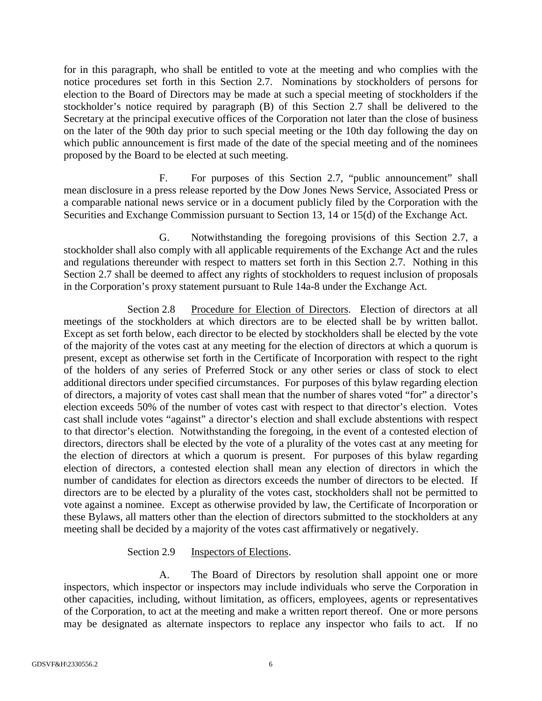for in this paragraph, who shall be entitled to vote at the meeting and who complies with the notice procedures set forth in this Section 2.7. Nominations by stockholders of persons for election to the Board of Directors may be made at such a special meeting of stockholders if the stockholder's notice required by paragraph (B) of this Section 2.7 shall be delivered to the Secretary at the principal executive offices of the Corporation not later than the close of business on the later of the 90th day prior to such special meeting or the 10th day following the day on which public announcement is first made of the date of the special meeting and of the nominees proposed by the Board to be elected at such meeting.

F. For purposes of this Section 2.7, "public announcement" shall mean disclosure in a press release reported by the Dow Jones News Service, Associated Press or a comparable national news service or in a document publicly filed by the Corporation with the Securities and Exchange Commission pursuant to Section 13, 14 or 15(d) of the Exchange Act.

G. Notwithstanding the foregoing provisions of this Section 2.7, a stockholder shall also comply with all applicable requirements of the Exchange Act and the rules and regulations thereunder with respect to matters set forth in this Section 2.7. Nothing in this Section 2.7 shall be deemed to affect any rights of stockholders to request inclusion of proposals in the Corporation's proxy statement pursuant to Rule 14a-8 under the Exchange Act.

Section 2.8 Procedure for Election of Directors. Election of directors at all meetings of the stockholders at which directors are to be elected shall be by written ballot. Except as set forth below, each director to be elected by stockholders shall be elected by the vote of the majority of the votes cast at any meeting for the election of directors at which a quorum is present, except as otherwise set forth in the Certificate of Incorporation with respect to the right of the holders of any series of Preferred Stock or any other series or class of stock to elect additional directors under specified circumstances. For purposes of this bylaw regarding election of directors, a majority of votes cast shall mean that the number of shares voted "for" a director's election exceeds 50% of the number of votes cast with respect to that director's election. Votes cast shall include votes "against" a director's election and shall exclude abstentions with respect to that director's election. Notwithstanding the foregoing, in the event of a contested election of directors, directors shall be elected by the vote of a plurality of the votes cast at any meeting for the election of directors at which a quorum is present. For purposes of this bylaw regarding election of directors, a contested election shall mean any election of directors in which the number of candidates for election as directors exceeds the number of directors to be elected. If directors are to be elected by a plurality of the votes cast, stockholders shall not be permitted to vote against a nominee. Except as otherwise provided by law, the Certificate of Incorporation or these Bylaws, all matters other than the election of directors submitted to the stockholders at any meeting shall be decided by a majority of the votes cast affirmatively or negatively.

### Section 2.9 Inspectors of Elections.

A. The Board of Directors by resolution shall appoint one or more inspectors, which inspector or inspectors may include individuals who serve the Corporation in other capacities, including, without limitation, as officers, employees, agents or representatives of the Corporation, to act at the meeting and make a written report thereof. One or more persons may be designated as alternate inspectors to replace any inspector who fails to act. If no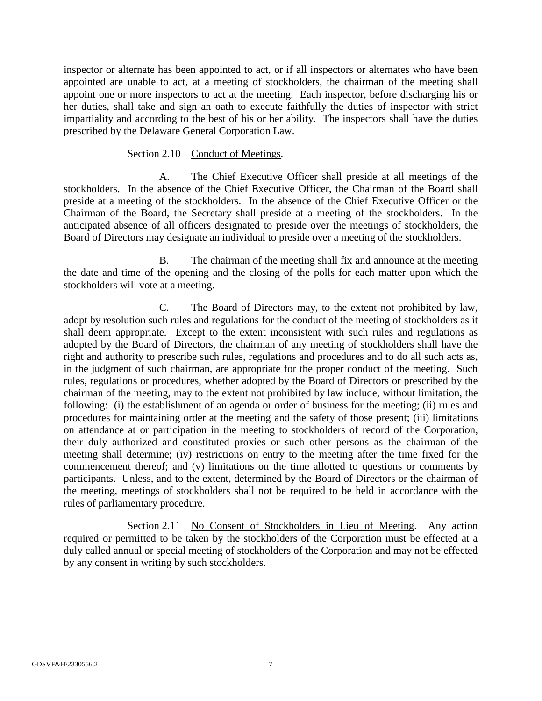inspector or alternate has been appointed to act, or if all inspectors or alternates who have been appointed are unable to act, at a meeting of stockholders, the chairman of the meeting shall appoint one or more inspectors to act at the meeting. Each inspector, before discharging his or her duties, shall take and sign an oath to execute faithfully the duties of inspector with strict impartiality and according to the best of his or her ability. The inspectors shall have the duties prescribed by the Delaware General Corporation Law.

### Section 2.10 Conduct of Meetings.

A. The Chief Executive Officer shall preside at all meetings of the stockholders. In the absence of the Chief Executive Officer, the Chairman of the Board shall preside at a meeting of the stockholders. In the absence of the Chief Executive Officer or the Chairman of the Board, the Secretary shall preside at a meeting of the stockholders. In the anticipated absence of all officers designated to preside over the meetings of stockholders, the Board of Directors may designate an individual to preside over a meeting of the stockholders.

B. The chairman of the meeting shall fix and announce at the meeting the date and time of the opening and the closing of the polls for each matter upon which the stockholders will vote at a meeting.

C. The Board of Directors may, to the extent not prohibited by law, adopt by resolution such rules and regulations for the conduct of the meeting of stockholders as it shall deem appropriate. Except to the extent inconsistent with such rules and regulations as adopted by the Board of Directors, the chairman of any meeting of stockholders shall have the right and authority to prescribe such rules, regulations and procedures and to do all such acts as, in the judgment of such chairman, are appropriate for the proper conduct of the meeting. Such rules, regulations or procedures, whether adopted by the Board of Directors or prescribed by the chairman of the meeting, may to the extent not prohibited by law include, without limitation, the following: (i) the establishment of an agenda or order of business for the meeting; (ii) rules and procedures for maintaining order at the meeting and the safety of those present; (iii) limitations on attendance at or participation in the meeting to stockholders of record of the Corporation, their duly authorized and constituted proxies or such other persons as the chairman of the meeting shall determine; (iv) restrictions on entry to the meeting after the time fixed for the commencement thereof; and (v) limitations on the time allotted to questions or comments by participants. Unless, and to the extent, determined by the Board of Directors or the chairman of the meeting, meetings of stockholders shall not be required to be held in accordance with the rules of parliamentary procedure.

Section 2.11 No Consent of Stockholders in Lieu of Meeting. Any action required or permitted to be taken by the stockholders of the Corporation must be effected at a duly called annual or special meeting of stockholders of the Corporation and may not be effected by any consent in writing by such stockholders.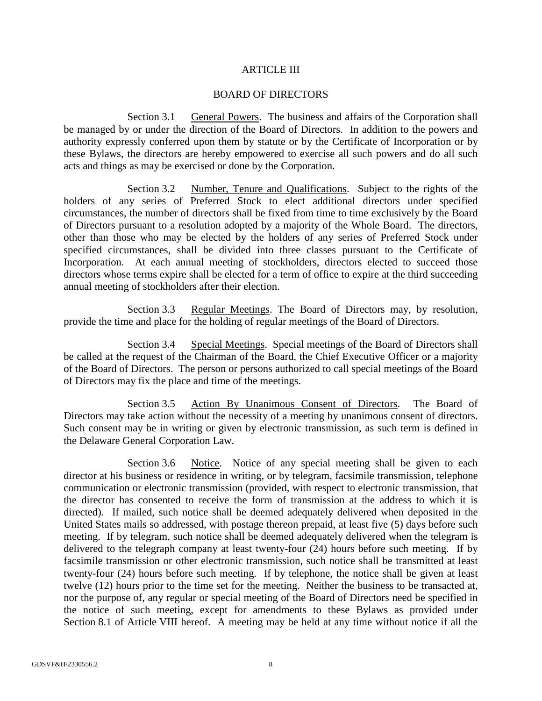#### ARTICLE III

#### BOARD OF DIRECTORS

Section 3.1 General Powers. The business and affairs of the Corporation shall be managed by or under the direction of the Board of Directors. In addition to the powers and authority expressly conferred upon them by statute or by the Certificate of Incorporation or by these Bylaws, the directors are hereby empowered to exercise all such powers and do all such acts and things as may be exercised or done by the Corporation.

Section 3.2 Number, Tenure and Qualifications. Subject to the rights of the holders of any series of Preferred Stock to elect additional directors under specified circumstances, the number of directors shall be fixed from time to time exclusively by the Board of Directors pursuant to a resolution adopted by a majority of the Whole Board.The directors, other than those who may be elected by the holders of any series of Preferred Stock under specified circumstances, shall be divided into three classes pursuant to the Certificate of Incorporation. At each annual meeting of stockholders, directors elected to succeed those directors whose terms expire shall be elected for a term of office to expire at the third succeeding annual meeting of stockholders after their election.

Section 3.3 Regular Meetings. The Board of Directors may, by resolution, provide the time and place for the holding of regular meetings of the Board of Directors.

Section 3.4 Special Meetings. Special meetings of the Board of Directors shall be called at the request of the Chairman of the Board, the Chief Executive Officer or a majority of the Board of Directors. The person or persons authorized to call special meetings of the Board of Directors may fix the place and time of the meetings.

Section 3.5 Action By Unanimous Consent of Directors. The Board of Directors may take action without the necessity of a meeting by unanimous consent of directors. Such consent may be in writing or given by electronic transmission, as such term is defined in the Delaware General Corporation Law.

Section 3.6 Notice. Notice of any special meeting shall be given to each director at his business or residence in writing, or by telegram, facsimile transmission, telephone communication or electronic transmission (provided, with respect to electronic transmission, that the director has consented to receive the form of transmission at the address to which it is directed). If mailed, such notice shall be deemed adequately delivered when deposited in the United States mails so addressed, with postage thereon prepaid, at least five (5) days before such meeting. If by telegram, such notice shall be deemed adequately delivered when the telegram is delivered to the telegraph company at least twenty-four (24) hours before such meeting. If by facsimile transmission or other electronic transmission, such notice shall be transmitted at least twenty-four (24) hours before such meeting. If by telephone, the notice shall be given at least twelve (12) hours prior to the time set for the meeting. Neither the business to be transacted at, nor the purpose of, any regular or special meeting of the Board of Directors need be specified in the notice of such meeting, except for amendments to these Bylaws as provided under Section 8.1 of Article VIII hereof. A meeting may be held at any time without notice if all the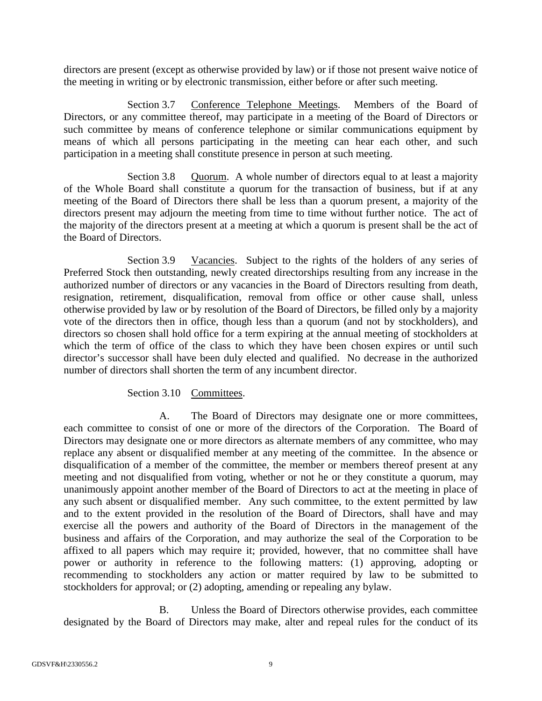directors are present (except as otherwise provided by law) or if those not present waive notice of the meeting in writing or by electronic transmission, either before or after such meeting.

Section 3.7 Conference Telephone Meetings. Members of the Board of Directors, or any committee thereof, may participate in a meeting of the Board of Directors or such committee by means of conference telephone or similar communications equipment by means of which all persons participating in the meeting can hear each other, and such participation in a meeting shall constitute presence in person at such meeting.

Section 3.8 Quorum. A whole number of directors equal to at least a majority of the Whole Board shall constitute a quorum for the transaction of business, but if at any meeting of the Board of Directors there shall be less than a quorum present, a majority of the directors present may adjourn the meeting from time to time without further notice. The act of the majority of the directors present at a meeting at which a quorum is present shall be the act of the Board of Directors.

Section 3.9 Vacancies. Subject to the rights of the holders of any series of Preferred Stock then outstanding, newly created directorships resulting from any increase in the authorized number of directors or any vacancies in the Board of Directors resulting from death, resignation, retirement, disqualification, removal from office or other cause shall, unless otherwise provided by law or by resolution of the Board of Directors, be filled only by a majority vote of the directors then in office, though less than a quorum (and not by stockholders), and directors so chosen shall hold office for a term expiring at the annual meeting of stockholders at which the term of office of the class to which they have been chosen expires or until such director's successor shall have been duly elected and qualified. No decrease in the authorized number of directors shall shorten the term of any incumbent director.

### Section 3.10 Committees.

A. The Board of Directors may designate one or more committees, each committee to consist of one or more of the directors of the Corporation. The Board of Directors may designate one or more directors as alternate members of any committee, who may replace any absent or disqualified member at any meeting of the committee. In the absence or disqualification of a member of the committee, the member or members thereof present at any meeting and not disqualified from voting, whether or not he or they constitute a quorum, may unanimously appoint another member of the Board of Directors to act at the meeting in place of any such absent or disqualified member. Any such committee, to the extent permitted by law and to the extent provided in the resolution of the Board of Directors, shall have and may exercise all the powers and authority of the Board of Directors in the management of the business and affairs of the Corporation, and may authorize the seal of the Corporation to be affixed to all papers which may require it; provided, however, that no committee shall have power or authority in reference to the following matters: (1) approving, adopting or recommending to stockholders any action or matter required by law to be submitted to stockholders for approval; or (2) adopting, amending or repealing any bylaw.

B. Unless the Board of Directors otherwise provides, each committee designated by the Board of Directors may make, alter and repeal rules for the conduct of its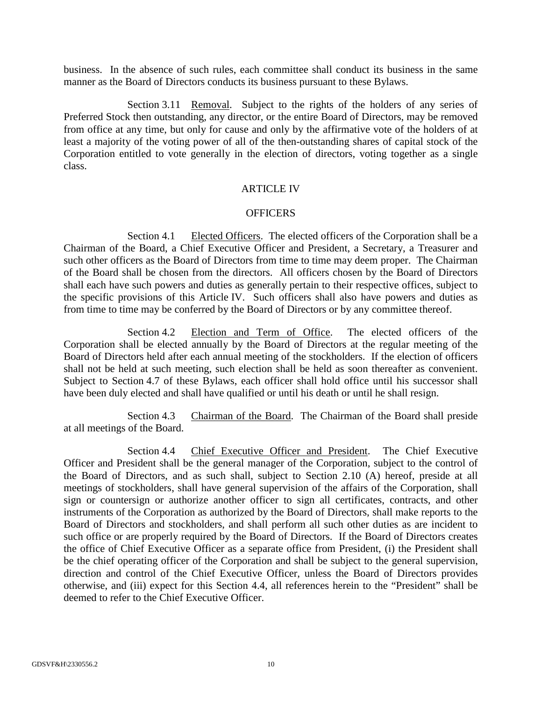business. In the absence of such rules, each committee shall conduct its business in the same manner as the Board of Directors conducts its business pursuant to these Bylaws.

Section 3.11 Removal. Subject to the rights of the holders of any series of Preferred Stock then outstanding, any director, or the entire Board of Directors, may be removed from office at any time, but only for cause and only by the affirmative vote of the holders of at least a majority of the voting power of all of the then-outstanding shares of capital stock of the Corporation entitled to vote generally in the election of directors, voting together as a single class.

### ARTICLE IV

### **OFFICERS**

Section 4.1 Elected Officers. The elected officers of the Corporation shall be a Chairman of the Board, a Chief Executive Officer and President, a Secretary, a Treasurer and such other officers as the Board of Directors from time to time may deem proper. The Chairman of the Board shall be chosen from the directors. All officers chosen by the Board of Directors shall each have such powers and duties as generally pertain to their respective offices, subject to the specific provisions of this Article IV. Such officers shall also have powers and duties as from time to time may be conferred by the Board of Directors or by any committee thereof.

Section 4.2 Election and Term of Office. The elected officers of the Corporation shall be elected annually by the Board of Directors at the regular meeting of the Board of Directors held after each annual meeting of the stockholders. If the election of officers shall not be held at such meeting, such election shall be held as soon thereafter as convenient. Subject to Section 4.7 of these Bylaws, each officer shall hold office until his successor shall have been duly elected and shall have qualified or until his death or until he shall resign.

Section 4.3 Chairman of the Board. The Chairman of the Board shall preside at all meetings of the Board.

Section 4.4 Chief Executive Officer and President. The Chief Executive Officer and President shall be the general manager of the Corporation, subject to the control of the Board of Directors, and as such shall, subject to Section 2.10 (A) hereof, preside at all meetings of stockholders, shall have general supervision of the affairs of the Corporation, shall sign or countersign or authorize another officer to sign all certificates, contracts, and other instruments of the Corporation as authorized by the Board of Directors, shall make reports to the Board of Directors and stockholders, and shall perform all such other duties as are incident to such office or are properly required by the Board of Directors. If the Board of Directors creates the office of Chief Executive Officer as a separate office from President, (i) the President shall be the chief operating officer of the Corporation and shall be subject to the general supervision, direction and control of the Chief Executive Officer, unless the Board of Directors provides otherwise, and (iii) expect for this Section 4.4, all references herein to the "President" shall be deemed to refer to the Chief Executive Officer.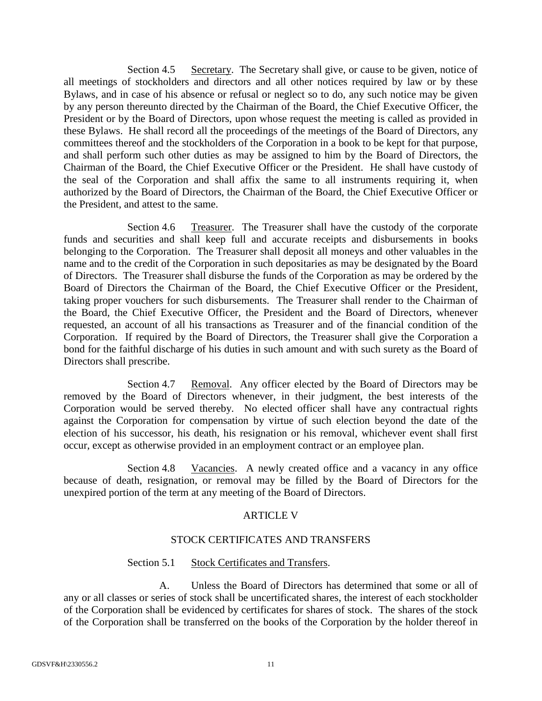Section 4.5 Secretary. The Secretary shall give, or cause to be given, notice of all meetings of stockholders and directors and all other notices required by law or by these Bylaws, and in case of his absence or refusal or neglect so to do, any such notice may be given by any person thereunto directed by the Chairman of the Board, the Chief Executive Officer, the President or by the Board of Directors, upon whose request the meeting is called as provided in these Bylaws. He shall record all the proceedings of the meetings of the Board of Directors, any committees thereof and the stockholders of the Corporation in a book to be kept for that purpose, and shall perform such other duties as may be assigned to him by the Board of Directors, the Chairman of the Board, the Chief Executive Officer or the President. He shall have custody of the seal of the Corporation and shall affix the same to all instruments requiring it, when authorized by the Board of Directors, the Chairman of the Board, the Chief Executive Officer or the President, and attest to the same.

Section 4.6 Treasurer. The Treasurer shall have the custody of the corporate funds and securities and shall keep full and accurate receipts and disbursements in books belonging to the Corporation. The Treasurer shall deposit all moneys and other valuables in the name and to the credit of the Corporation in such depositaries as may be designated by the Board of Directors. The Treasurer shall disburse the funds of the Corporation as may be ordered by the Board of Directors the Chairman of the Board, the Chief Executive Officer or the President, taking proper vouchers for such disbursements. The Treasurer shall render to the Chairman of the Board, the Chief Executive Officer, the President and the Board of Directors, whenever requested, an account of all his transactions as Treasurer and of the financial condition of the Corporation. If required by the Board of Directors, the Treasurer shall give the Corporation a bond for the faithful discharge of his duties in such amount and with such surety as the Board of Directors shall prescribe.

Section 4.7 Removal. Any officer elected by the Board of Directors may be removed by the Board of Directors whenever, in their judgment, the best interests of the Corporation would be served thereby. No elected officer shall have any contractual rights against the Corporation for compensation by virtue of such election beyond the date of the election of his successor, his death, his resignation or his removal, whichever event shall first occur, except as otherwise provided in an employment contract or an employee plan.

Section 4.8 Vacancies. A newly created office and a vacancy in any office because of death, resignation, or removal may be filled by the Board of Directors for the unexpired portion of the term at any meeting of the Board of Directors.

### ARTICLE V

### STOCK CERTIFICATES AND TRANSFERS

### Section 5.1 Stock Certificates and Transfers.

A. Unless the Board of Directors has determined that some or all of any or all classes or series of stock shall be uncertificated shares, the interest of each stockholder of the Corporation shall be evidenced by certificates for shares of stock. The shares of the stock of the Corporation shall be transferred on the books of the Corporation by the holder thereof in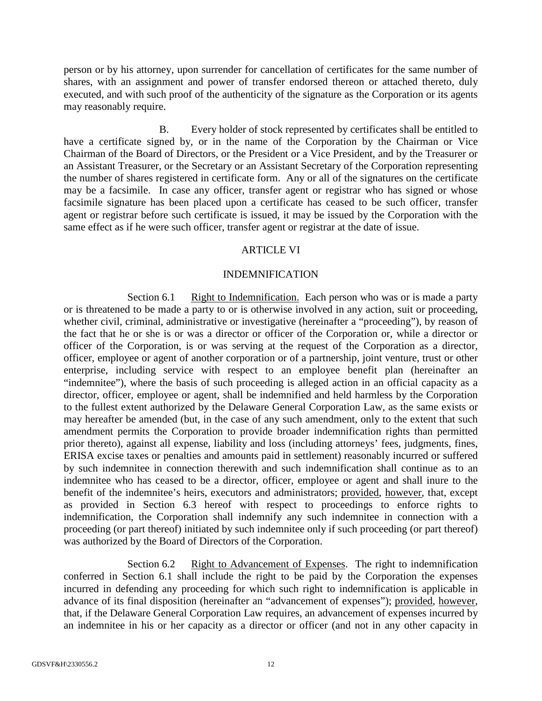person or by his attorney, upon surrender for cancellation of certificates for the same number of shares, with an assignment and power of transfer endorsed thereon or attached thereto, duly executed, and with such proof of the authenticity of the signature as the Corporation or its agents may reasonably require.

B. Every holder of stock represented by certificates shall be entitled to have a certificate signed by, or in the name of the Corporation by the Chairman or Vice Chairman of the Board of Directors, or the President or a Vice President, and by the Treasurer or an Assistant Treasurer, or the Secretary or an Assistant Secretary of the Corporation representing the number of shares registered in certificate form. Any or all of the signatures on the certificate may be a facsimile. In case any officer, transfer agent or registrar who has signed or whose facsimile signature has been placed upon a certificate has ceased to be such officer, transfer agent or registrar before such certificate is issued, it may be issued by the Corporation with the same effect as if he were such officer, transfer agent or registrar at the date of issue.

### ARTICLE VI

### INDEMNIFICATION

Section 6.1 Right to Indemnification. Each person who was or is made a party or is threatened to be made a party to or is otherwise involved in any action, suit or proceeding, whether civil, criminal, administrative or investigative (hereinafter a "proceeding"), by reason of the fact that he or she is or was a director or officer of the Corporation or, while a director or officer of the Corporation, is or was serving at the request of the Corporation as a director, officer, employee or agent of another corporation or of a partnership, joint venture, trust or other enterprise, including service with respect to an employee benefit plan (hereinafter an "indemnitee"), where the basis of such proceeding is alleged action in an official capacity as a director, officer, employee or agent, shall be indemnified and held harmless by the Corporation to the fullest extent authorized by the Delaware General Corporation Law, as the same exists or may hereafter be amended (but, in the case of any such amendment, only to the extent that such amendment permits the Corporation to provide broader indemnification rights than permitted prior thereto), against all expense, liability and loss (including attorneys' fees, judgments, fines, ERISA excise taxes or penalties and amounts paid in settlement) reasonably incurred or suffered by such indemnitee in connection therewith and such indemnification shall continue as to an indemnitee who has ceased to be a director, officer, employee or agent and shall inure to the benefit of the indemnitee's heirs, executors and administrators; provided, however, that, except as provided in Section 6.3 hereof with respect to proceedings to enforce rights to indemnification, the Corporation shall indemnify any such indemnitee in connection with a proceeding (or part thereof) initiated by such indemnitee only if such proceeding (or part thereof) was authorized by the Board of Directors of the Corporation.

Section 6.2 Right to Advancement of Expenses. The right to indemnification conferred in Section 6.1 shall include the right to be paid by the Corporation the expenses incurred in defending any proceeding for which such right to indemnification is applicable in advance of its final disposition (hereinafter an "advancement of expenses"); provided, however, that, if the Delaware General Corporation Law requires, an advancement of expenses incurred by an indemnitee in his or her capacity as a director or officer (and not in any other capacity in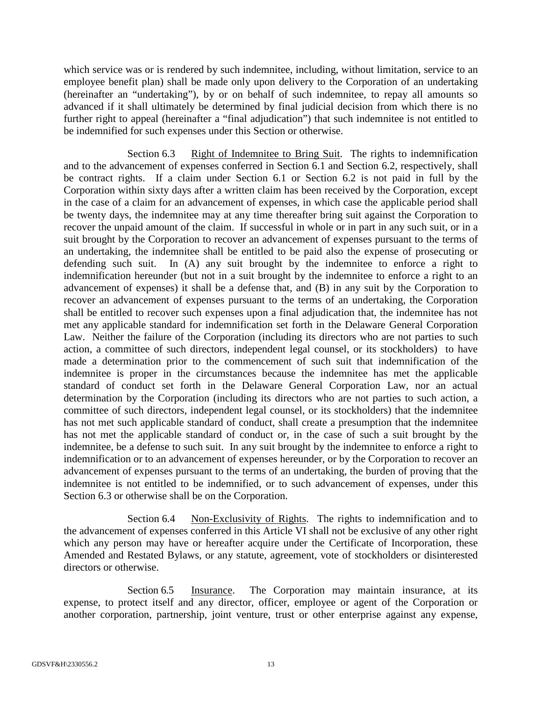which service was or is rendered by such indemnitee, including, without limitation, service to an employee benefit plan) shall be made only upon delivery to the Corporation of an undertaking (hereinafter an "undertaking"), by or on behalf of such indemnitee, to repay all amounts so advanced if it shall ultimately be determined by final judicial decision from which there is no further right to appeal (hereinafter a "final adjudication") that such indemnitee is not entitled to be indemnified for such expenses under this Section or otherwise.

Section 6.3 Right of Indemnitee to Bring Suit. The rights to indemnification and to the advancement of expenses conferred in Section 6.1 and Section 6.2, respectively, shall be contract rights. If a claim under Section 6.1 or Section 6.2 is not paid in full by the Corporation within sixty days after a written claim has been received by the Corporation, except in the case of a claim for an advancement of expenses, in which case the applicable period shall be twenty days, the indemnitee may at any time thereafter bring suit against the Corporation to recover the unpaid amount of the claim. If successful in whole or in part in any such suit, or in a suit brought by the Corporation to recover an advancement of expenses pursuant to the terms of an undertaking, the indemnitee shall be entitled to be paid also the expense of prosecuting or defending such suit. In (A) any suit brought by the indemnitee to enforce a right to indemnification hereunder (but not in a suit brought by the indemnitee to enforce a right to an advancement of expenses) it shall be a defense that, and (B) in any suit by the Corporation to recover an advancement of expenses pursuant to the terms of an undertaking, the Corporation shall be entitled to recover such expenses upon a final adjudication that, the indemnitee has not met any applicable standard for indemnification set forth in the Delaware General Corporation Law. Neither the failure of the Corporation (including its directors who are not parties to such action, a committee of such directors, independent legal counsel, or its stockholders) to have made a determination prior to the commencement of such suit that indemnification of the indemnitee is proper in the circumstances because the indemnitee has met the applicable standard of conduct set forth in the Delaware General Corporation Law, nor an actual determination by the Corporation (including its directors who are not parties to such action, a committee of such directors, independent legal counsel, or its stockholders) that the indemnitee has not met such applicable standard of conduct, shall create a presumption that the indemnitee has not met the applicable standard of conduct or, in the case of such a suit brought by the indemnitee, be a defense to such suit. In any suit brought by the indemnitee to enforce a right to indemnification or to an advancement of expenses hereunder, or by the Corporation to recover an advancement of expenses pursuant to the terms of an undertaking, the burden of proving that the indemnitee is not entitled to be indemnified, or to such advancement of expenses, under this Section 6.3 or otherwise shall be on the Corporation.

Section 6.4 Non-Exclusivity of Rights. The rights to indemnification and to the advancement of expenses conferred in this Article VI shall not be exclusive of any other right which any person may have or hereafter acquire under the Certificate of Incorporation, these Amended and Restated Bylaws, or any statute, agreement, vote of stockholders or disinterested directors or otherwise.

Section 6.5 Insurance. The Corporation may maintain insurance, at its expense, to protect itself and any director, officer, employee or agent of the Corporation or another corporation, partnership, joint venture, trust or other enterprise against any expense,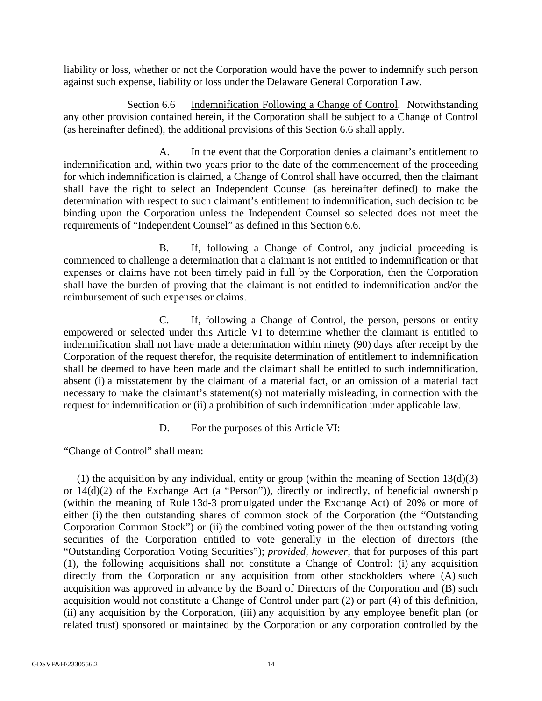liability or loss, whether or not the Corporation would have the power to indemnify such person against such expense, liability or loss under the Delaware General Corporation Law.

Section 6.6 Indemnification Following a Change of Control. Notwithstanding any other provision contained herein, if the Corporation shall be subject to a Change of Control (as hereinafter defined), the additional provisions of this Section 6.6 shall apply.

A. In the event that the Corporation denies a claimant's entitlement to indemnification and, within two years prior to the date of the commencement of the proceeding for which indemnification is claimed, a Change of Control shall have occurred, then the claimant shall have the right to select an Independent Counsel (as hereinafter defined) to make the determination with respect to such claimant's entitlement to indemnification, such decision to be binding upon the Corporation unless the Independent Counsel so selected does not meet the requirements of "Independent Counsel" as defined in this Section 6.6.

B. If, following a Change of Control, any judicial proceeding is commenced to challenge a determination that a claimant is not entitled to indemnification or that expenses or claims have not been timely paid in full by the Corporation, then the Corporation shall have the burden of proving that the claimant is not entitled to indemnification and/or the reimbursement of such expenses or claims.

C. If, following a Change of Control, the person, persons or entity empowered or selected under this Article VI to determine whether the claimant is entitled to indemnification shall not have made a determination within ninety (90) days after receipt by the Corporation of the request therefor, the requisite determination of entitlement to indemnification shall be deemed to have been made and the claimant shall be entitled to such indemnification, absent (i) a misstatement by the claimant of a material fact, or an omission of a material fact necessary to make the claimant's statement(s) not materially misleading, in connection with the request for indemnification or (ii) a prohibition of such indemnification under applicable law.

D. For the purposes of this Article VI:

"Change of Control" shall mean:

(1) the acquisition by any individual, entity or group (within the meaning of Section  $13(d)(3)$ or 14(d)(2) of the Exchange Act (a "Person")), directly or indirectly, of beneficial ownership (within the meaning of Rule 13d-3 promulgated under the Exchange Act) of 20% or more of either (i) the then outstanding shares of common stock of the Corporation (the "Outstanding Corporation Common Stock") or (ii) the combined voting power of the then outstanding voting securities of the Corporation entitled to vote generally in the election of directors (the "Outstanding Corporation Voting Securities"); *provided, however*, that for purposes of this part (1), the following acquisitions shall not constitute a Change of Control: (i) any acquisition directly from the Corporation or any acquisition from other stockholders where (A) such acquisition was approved in advance by the Board of Directors of the Corporation and (B) such acquisition would not constitute a Change of Control under part (2) or part (4) of this definition, (ii) any acquisition by the Corporation, (iii) any acquisition by any employee benefit plan (or related trust) sponsored or maintained by the Corporation or any corporation controlled by the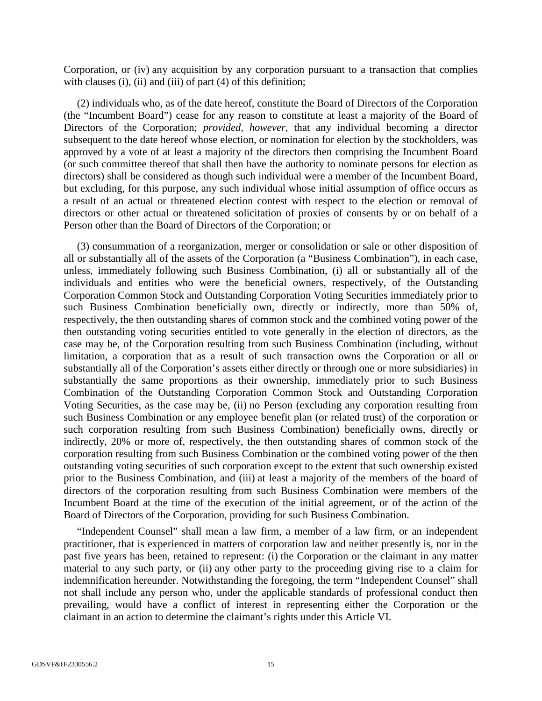Corporation, or (iv) any acquisition by any corporation pursuant to a transaction that complies with clauses (i), (ii) and (iii) of part (4) of this definition;

 (2) individuals who, as of the date hereof, constitute the Board of Directors of the Corporation (the "Incumbent Board") cease for any reason to constitute at least a majority of the Board of Directors of the Corporation; *provided, however*, that any individual becoming a director subsequent to the date hereof whose election, or nomination for election by the stockholders, was approved by a vote of at least a majority of the directors then comprising the Incumbent Board (or such committee thereof that shall then have the authority to nominate persons for election as directors) shall be considered as though such individual were a member of the Incumbent Board, but excluding, for this purpose, any such individual whose initial assumption of office occurs as a result of an actual or threatened election contest with respect to the election or removal of directors or other actual or threatened solicitation of proxies of consents by or on behalf of a Person other than the Board of Directors of the Corporation; or

 (3) consummation of a reorganization, merger or consolidation or sale or other disposition of all or substantially all of the assets of the Corporation (a "Business Combination"), in each case, unless, immediately following such Business Combination, (i) all or substantially all of the individuals and entities who were the beneficial owners, respectively, of the Outstanding Corporation Common Stock and Outstanding Corporation Voting Securities immediately prior to such Business Combination beneficially own, directly or indirectly, more than 50% of, respectively, the then outstanding shares of common stock and the combined voting power of the then outstanding voting securities entitled to vote generally in the election of directors, as the case may be, of the Corporation resulting from such Business Combination (including, without limitation, a corporation that as a result of such transaction owns the Corporation or all or substantially all of the Corporation's assets either directly or through one or more subsidiaries) in substantially the same proportions as their ownership, immediately prior to such Business Combination of the Outstanding Corporation Common Stock and Outstanding Corporation Voting Securities, as the case may be, (ii) no Person (excluding any corporation resulting from such Business Combination or any employee benefit plan (or related trust) of the corporation or such corporation resulting from such Business Combination) beneficially owns, directly or indirectly, 20% or more of, respectively, the then outstanding shares of common stock of the corporation resulting from such Business Combination or the combined voting power of the then outstanding voting securities of such corporation except to the extent that such ownership existed prior to the Business Combination, and (iii) at least a majority of the members of the board of directors of the corporation resulting from such Business Combination were members of the Incumbent Board at the time of the execution of the initial agreement, or of the action of the Board of Directors of the Corporation, providing for such Business Combination.

 "Independent Counsel" shall mean a law firm, a member of a law firm, or an independent practitioner, that is experienced in matters of corporation law and neither presently is, nor in the past five years has been, retained to represent: (i) the Corporation or the claimant in any matter material to any such party, or (ii) any other party to the proceeding giving rise to a claim for indemnification hereunder. Notwithstanding the foregoing, the term "Independent Counsel" shall not shall include any person who, under the applicable standards of professional conduct then prevailing, would have a conflict of interest in representing either the Corporation or the claimant in an action to determine the claimant's rights under this Article VI.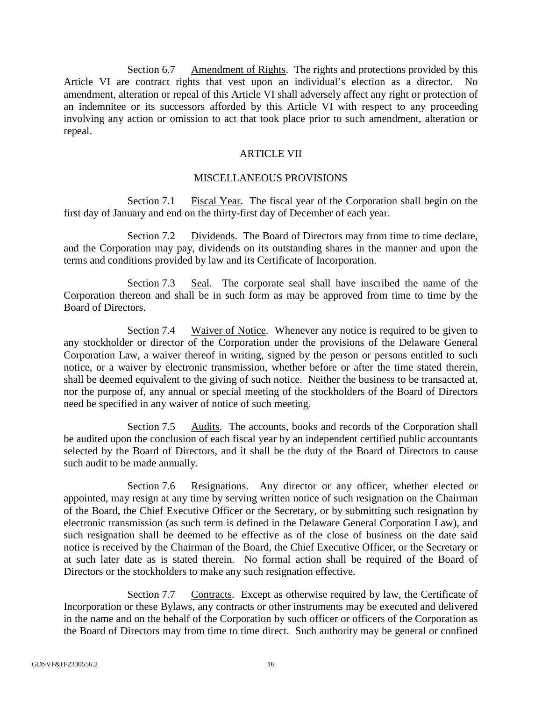Section 6.7 Amendment of Rights. The rights and protections provided by this Article VI are contract rights that vest upon an individual's election as a director. No amendment, alteration or repeal of this Article VI shall adversely affect any right or protection of an indemnitee or its successors afforded by this Article VI with respect to any proceeding involving any action or omission to act that took place prior to such amendment, alteration or repeal.

## ARTICLE VII

#### MISCELLANEOUS PROVISIONS

Section 7.1 Fiscal Year. The fiscal year of the Corporation shall begin on the first day of January and end on the thirty-first day of December of each year.

Section 7.2 Dividends. The Board of Directors may from time to time declare, and the Corporation may pay, dividends on its outstanding shares in the manner and upon the terms and conditions provided by law and its Certificate of Incorporation.

Section 7.3 Seal. The corporate seal shall have inscribed the name of the Corporation thereon and shall be in such form as may be approved from time to time by the Board of Directors.

Section 7.4 Waiver of Notice. Whenever any notice is required to be given to any stockholder or director of the Corporation under the provisions of the Delaware General Corporation Law, a waiver thereof in writing, signed by the person or persons entitled to such notice, or a waiver by electronic transmission, whether before or after the time stated therein, shall be deemed equivalent to the giving of such notice. Neither the business to be transacted at, nor the purpose of, any annual or special meeting of the stockholders of the Board of Directors need be specified in any waiver of notice of such meeting.

Section 7.5 Audits. The accounts, books and records of the Corporation shall be audited upon the conclusion of each fiscal year by an independent certified public accountants selected by the Board of Directors, and it shall be the duty of the Board of Directors to cause such audit to be made annually.

Section 7.6 Resignations. Any director or any officer, whether elected or appointed, may resign at any time by serving written notice of such resignation on the Chairman of the Board, the Chief Executive Officer or the Secretary, or by submitting such resignation by electronic transmission (as such term is defined in the Delaware General Corporation Law), and such resignation shall be deemed to be effective as of the close of business on the date said notice is received by the Chairman of the Board, the Chief Executive Officer, or the Secretary or at such later date as is stated therein. No formal action shall be required of the Board of Directors or the stockholders to make any such resignation effective.

Section 7.7 Contracts. Except as otherwise required by law, the Certificate of Incorporation or these Bylaws, any contracts or other instruments may be executed and delivered in the name and on the behalf of the Corporation by such officer or officers of the Corporation as the Board of Directors may from time to time direct. Such authority may be general or confined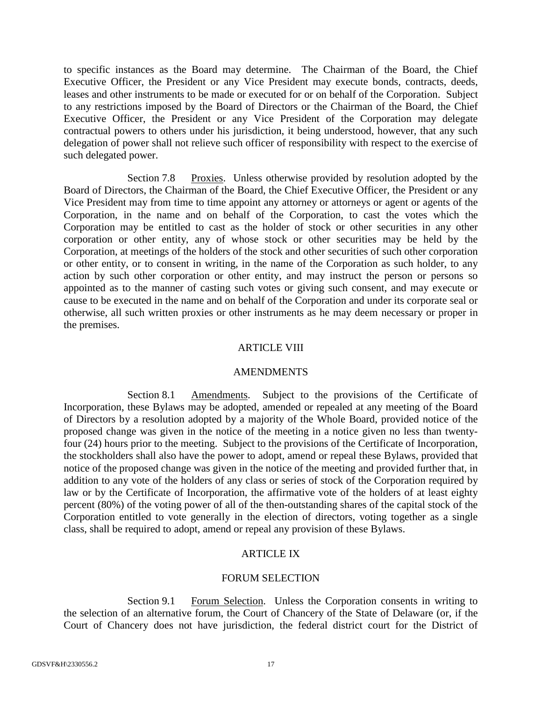to specific instances as the Board may determine. The Chairman of the Board, the Chief Executive Officer, the President or any Vice President may execute bonds, contracts, deeds, leases and other instruments to be made or executed for or on behalf of the Corporation. Subject to any restrictions imposed by the Board of Directors or the Chairman of the Board, the Chief Executive Officer, the President or any Vice President of the Corporation may delegate contractual powers to others under his jurisdiction, it being understood, however, that any such delegation of power shall not relieve such officer of responsibility with respect to the exercise of such delegated power.

Section 7.8 Proxies. Unless otherwise provided by resolution adopted by the Board of Directors, the Chairman of the Board, the Chief Executive Officer, the President or any Vice President may from time to time appoint any attorney or attorneys or agent or agents of the Corporation, in the name and on behalf of the Corporation, to cast the votes which the Corporation may be entitled to cast as the holder of stock or other securities in any other corporation or other entity, any of whose stock or other securities may be held by the Corporation, at meetings of the holders of the stock and other securities of such other corporation or other entity, or to consent in writing, in the name of the Corporation as such holder, to any action by such other corporation or other entity, and may instruct the person or persons so appointed as to the manner of casting such votes or giving such consent, and may execute or cause to be executed in the name and on behalf of the Corporation and under its corporate seal or otherwise, all such written proxies or other instruments as he may deem necessary or proper in the premises.

#### ARTICLE VIII

#### AMENDMENTS

Section 8.1 Amendments. Subject to the provisions of the Certificate of Incorporation, these Bylaws may be adopted, amended or repealed at any meeting of the Board of Directors by a resolution adopted by a majority of the Whole Board, provided notice of the proposed change was given in the notice of the meeting in a notice given no less than twentyfour (24) hours prior to the meeting. Subject to the provisions of the Certificate of Incorporation, the stockholders shall also have the power to adopt, amend or repeal these Bylaws, provided that notice of the proposed change was given in the notice of the meeting and provided further that, in addition to any vote of the holders of any class or series of stock of the Corporation required by law or by the Certificate of Incorporation, the affirmative vote of the holders of at least eighty percent (80%) of the voting power of all of the then-outstanding shares of the capital stock of the Corporation entitled to vote generally in the election of directors, voting together as a single class, shall be required to adopt, amend or repeal any provision of these Bylaws.

#### ARTICLE IX

#### FORUM SELECTION

Section 9.1 Forum Selection. Unless the Corporation consents in writing to the selection of an alternative forum, the Court of Chancery of the State of Delaware (or, if the Court of Chancery does not have jurisdiction, the federal district court for the District of